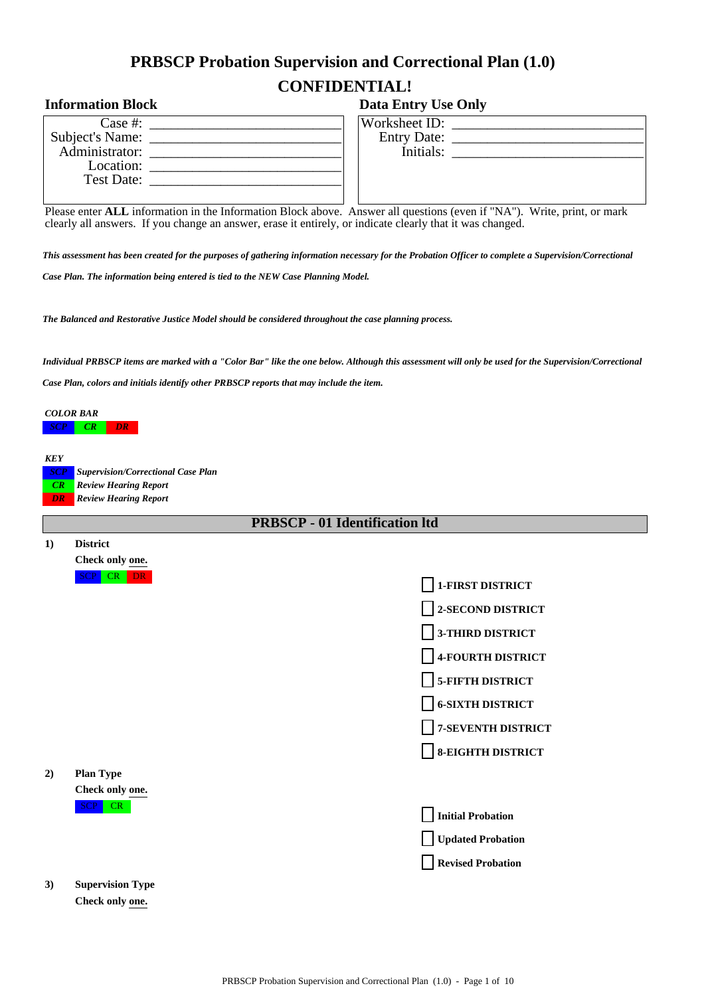# **PRBSCP Probation Supervision and Correctional Plan (1.0) CONFIDENTIAL!**

## **Information Block Data Entry Use Only**

| Case $#$ :      |  |
|-----------------|--|
| Subject's Name: |  |
| Administrator:  |  |
| Location:       |  |
| Test Date:      |  |
|                 |  |

| Worksheet ID:      |  |
|--------------------|--|
| <b>Entry Date:</b> |  |

| <b>Entry Date:</b> |  |  |
|--------------------|--|--|
| Initials:          |  |  |
|                    |  |  |
|                    |  |  |
|                    |  |  |

Please enter **ALL** information in the Information Block above. Answer all questions (even if "NA"). Write, print, or mark clearly all answers. If you change an answer, erase it entirely, or indicate clearly that it was changed.

*This assessment has been created for the purposes of gathering information necessary for the Probation Officer to complete a Supervision/Correctional Case Plan. The information being entered is tied to the NEW Case Planning Model.*

*The Balanced and Restorative Justice Model should be considered throughout the case planning process.*

*Individual PRBSCP items are marked with a "Color Bar" like the one below. Although this assessment will only be used for the Supervision/Correctional*

*Case Plan, colors and initials identify other PRBSCP reports that may include the item.*

*COLOR BAR SCP CR* 

**1) District**

*KEY SCP Supervision/Correctional Case Plan CR Review Hearing Report DR Review Hearing Report*

**PRBSCP - 01 Identification ltd**

| $\blacksquare$ | <i>DISULICE</i>         |                          |
|----------------|-------------------------|--------------------------|
|                | Check only one.         |                          |
|                | <b>SCP</b><br>$CR$ DR   | 1-FIRST DISTRICT         |
|                |                         | 2-SECOND DISTRICT        |
|                |                         | 3-THIRD DISTRICT         |
|                |                         | <b>4-FOURTH DISTRICT</b> |
|                |                         | <b>5-FIFTH DISTRICT</b>  |
|                |                         | <b>6-SIXTH DISTRICT</b>  |
|                |                         | 7-SEVENTH DISTRICT       |
|                |                         | <b>8-EIGHTH DISTRICT</b> |
| 2)             | <b>Plan Type</b>        |                          |
|                | Check only one.         |                          |
|                | SCP CR                  | <b>Initial Probation</b> |
|                |                         | <b>Updated Probation</b> |
|                |                         | <b>Revised Probation</b> |
| 3)             | <b>Supervision Type</b> |                          |
|                | Check only one.         |                          |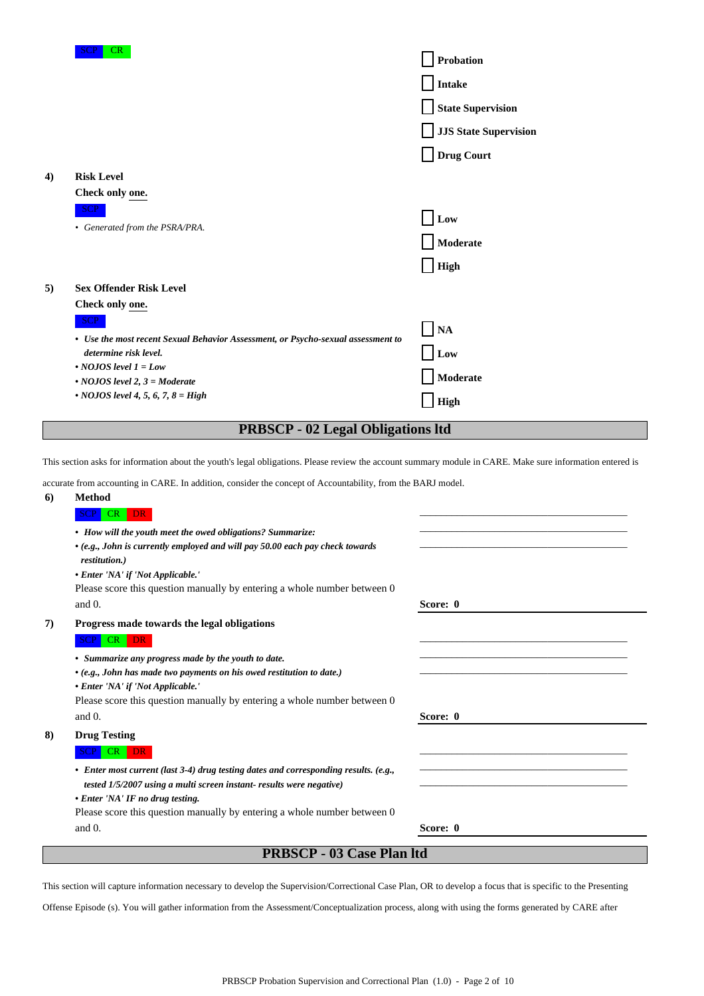| <b>SCP</b><br>CR                                                                 | Probation<br><b>Intake</b><br><b>State Supervision</b><br><b>JJS State Supervision</b><br>Drug Court |
|----------------------------------------------------------------------------------|------------------------------------------------------------------------------------------------------|
| <b>Risk Level</b>                                                                |                                                                                                      |
| Check only one.                                                                  |                                                                                                      |
| <b>SCP</b>                                                                       | Low                                                                                                  |
| • Generated from the PSRA/PRA.                                                   |                                                                                                      |
|                                                                                  | Moderate                                                                                             |
|                                                                                  | <b>High</b>                                                                                          |
| <b>Sex Offender Risk Level</b>                                                   |                                                                                                      |
| Check only one.                                                                  |                                                                                                      |
| <b>SCP</b>                                                                       | $\overline{NA}$                                                                                      |
| • Use the most recent Sexual Behavior Assessment, or Psycho-sexual assessment to |                                                                                                      |
|                                                                                  | Low                                                                                                  |
|                                                                                  | Moderate                                                                                             |
| • NOJOS level 4, 5, 6, 7, 8 = High                                               | <b>High</b>                                                                                          |
|                                                                                  | determine risk level.<br>$\cdot$ NOJOS level 1 = Low<br>$\cdot$ NOJOS level 2, 3 = Moderate          |

## **PRBSCP - 02 Legal Obligations ltd**

This section asks for information about the youth's legal obligations. Please review the account summary module in CARE. Make sure information entered is

accurate from accounting in CARE. In addition, consider the concept of Accountability, from the BARJ model.

| <b>Method</b>                                                                                  |          |
|------------------------------------------------------------------------------------------------|----------|
| <b>SCP</b><br>CR<br><b>DR</b>                                                                  |          |
| • How will the youth meet the owed obligations? Summarize:                                     |          |
| • (e.g., John is currently employed and will pay 50.00 each pay check towards<br>restitution.) |          |
| • Enter 'NA' if 'Not Applicable.'                                                              |          |
| Please score this question manually by entering a whole number between 0                       |          |
| and $0$ .                                                                                      | Score: 0 |
| Progress made towards the legal obligations                                                    |          |
| $CR$ DR                                                                                        |          |
| • Summarize any progress made by the youth to date.                                            |          |
| • (e.g., John has made two payments on his owed restitution to date.)                          |          |
| • Enter 'NA' if 'Not Applicable.'                                                              |          |
| Please score this question manually by entering a whole number between 0                       |          |
| and $0$ .                                                                                      | Score: 0 |
| <b>Drug Testing</b>                                                                            |          |
| <b>DR</b><br>CR                                                                                |          |
| • Enter most current (last 3-4) drug testing dates and corresponding results. (e.g.,           |          |
| tested 1/5/2007 using a multi screen instant-results were negative)                            |          |
| • Enter 'NA' IF no drug testing.                                                               |          |
| Please score this question manually by entering a whole number between 0                       |          |
| and $0$ .                                                                                      | Score: 0 |
| <b>PRBSCP - 03 Case Plan ltd</b>                                                               |          |
|                                                                                                |          |

This section will capture information necessary to develop the Supervision/Correctional Case Plan, OR to develop a focus that is specific to the Presenting

Offense Episode (s). You will gather information from the Assessment/Conceptualization process, along with using the forms generated by CARE after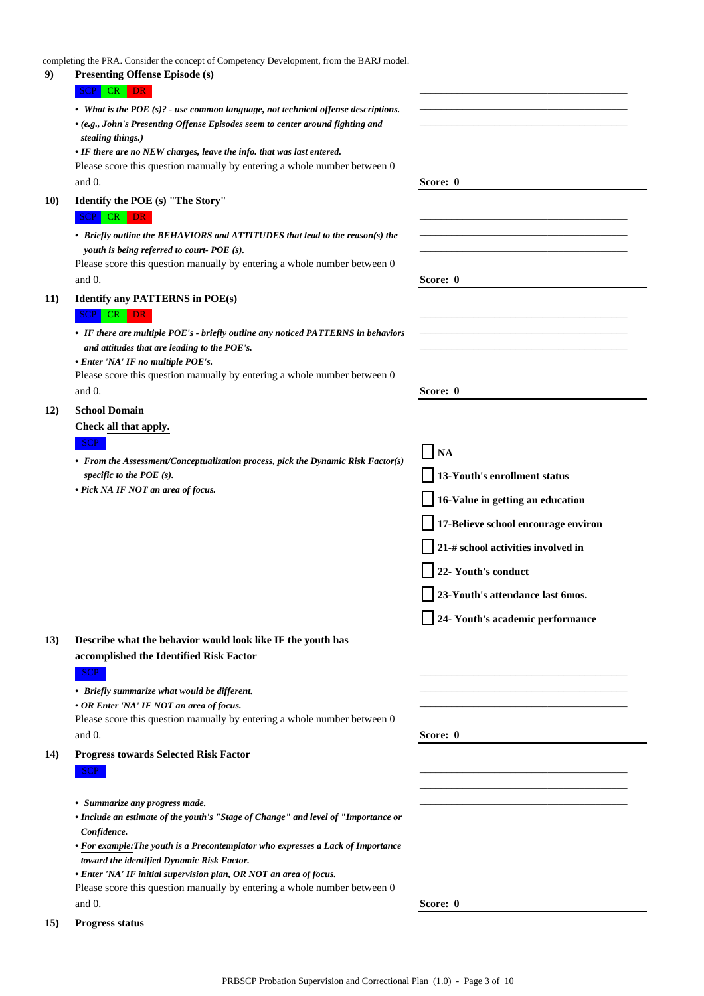completing the PRA. Consider the concept of Competency Development, from the BARJ model.

| 9)          | e Pref. Consider the concept of Competency Beveropment, from the British model<br><b>Presenting Offense Episode (s)</b> |                                     |
|-------------|-------------------------------------------------------------------------------------------------------------------------|-------------------------------------|
|             | SCP CR DR                                                                                                               |                                     |
|             | • What is the POE $(s)$ ? - use common language, not technical offense descriptions.                                    |                                     |
|             | • (e.g., John's Presenting Offense Episodes seem to center around fighting and                                          |                                     |
|             | stealing things.)                                                                                                       |                                     |
|             | • IF there are no NEW charges, leave the info. that was last entered.                                                   |                                     |
|             | Please score this question manually by entering a whole number between 0<br>and 0.                                      | Score: 0                            |
|             |                                                                                                                         |                                     |
| <b>10</b> ) | Identify the POE (s) "The Story"                                                                                        |                                     |
|             | SCP CR DR                                                                                                               |                                     |
|             | • Briefly outline the BEHAVIORS and ATTITUDES that lead to the reason(s) the                                            |                                     |
|             | youth is being referred to court-POE (s).<br>Please score this question manually by entering a whole number between 0   |                                     |
|             | and 0.                                                                                                                  | Score: 0                            |
| <b>11</b> ) | <b>Identify any PATTERNS in POE(s)</b>                                                                                  |                                     |
|             | SCP CR DR                                                                                                               |                                     |
|             | • IF there are multiple POE's - briefly outline any noticed PATTERNS in behaviors                                       |                                     |
|             | and attitudes that are leading to the POE's.                                                                            |                                     |
|             | • Enter 'NA' IF no multiple POE's.                                                                                      |                                     |
|             | Please score this question manually by entering a whole number between 0                                                |                                     |
|             | and $0$ .                                                                                                               | Score: 0                            |
| <b>12</b> ) | <b>School Domain</b>                                                                                                    |                                     |
|             | Check all that apply.                                                                                                   |                                     |
|             | SCP                                                                                                                     | <b>NA</b>                           |
|             | • From the Assessment/Conceptualization process, pick the Dynamic Risk Factor(s)                                        |                                     |
|             | specific to the POE $(s)$ .<br>• Pick NA IF NOT an area of focus.                                                       | 13-Youth's enrollment status        |
|             |                                                                                                                         | 16-Value in getting an education    |
|             |                                                                                                                         | 17-Believe school encourage environ |
|             |                                                                                                                         | 21-# school activities involved in  |
|             |                                                                                                                         | 22- Youth's conduct                 |
|             |                                                                                                                         | 23-Youth's attendance last 6mos.    |
|             |                                                                                                                         | 24- Youth's academic performance    |
| 13)         | Describe what the behavior would look like IF the youth has                                                             |                                     |
|             | accomplished the Identified Risk Factor                                                                                 |                                     |
|             | SCP                                                                                                                     |                                     |
|             | • Briefly summarize what would be different.                                                                            |                                     |
|             | • OR Enter 'NA' IF NOT an area of focus.                                                                                |                                     |
|             | Please score this question manually by entering a whole number between 0<br>and 0.                                      | Score: 0                            |
|             |                                                                                                                         |                                     |
| 14)         | <b>Progress towards Selected Risk Factor</b><br>SCP                                                                     |                                     |
|             |                                                                                                                         |                                     |
|             | • Summarize any progress made.                                                                                          |                                     |
|             | • Include an estimate of the youth's "Stage of Change" and level of "Importance or                                      |                                     |
|             | Confidence.                                                                                                             |                                     |
|             | • For example: The youth is a Precontemplator who expresses a Lack of Importance                                        |                                     |
|             | toward the identified Dynamic Risk Factor.<br>• Enter 'NA' IF initial supervision plan, OR NOT an area of focus.        |                                     |
|             | Please score this question manually by entering a whole number between 0                                                |                                     |
|             | and 0.                                                                                                                  | Score: 0                            |
| <b>15</b> ) | <b>Progress status</b>                                                                                                  |                                     |
|             |                                                                                                                         |                                     |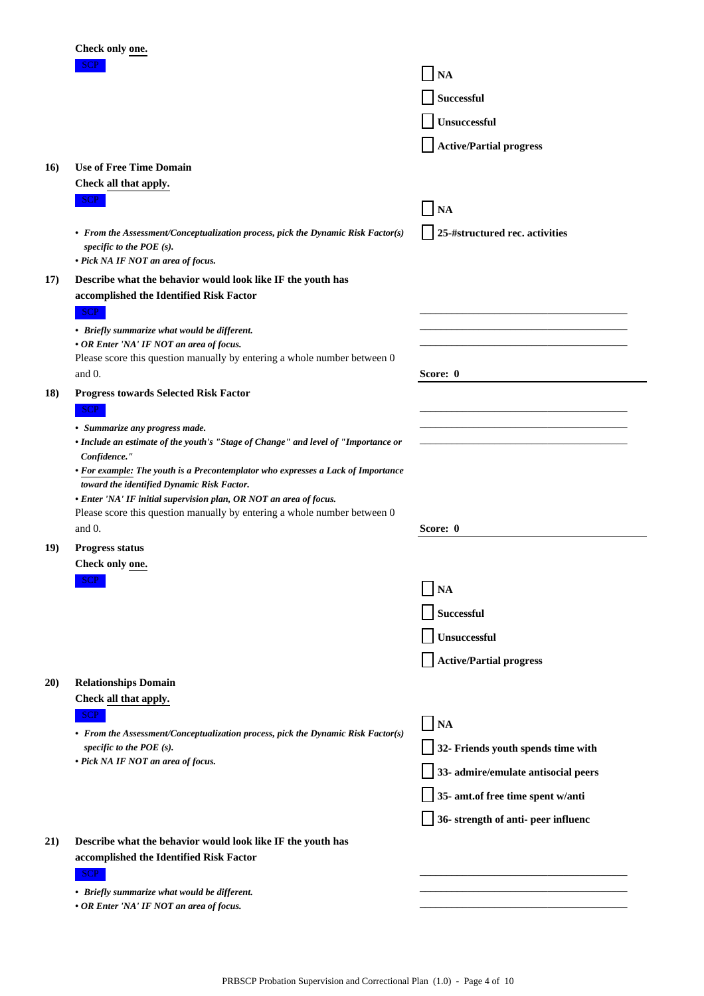|     | Check only one.                                                                                                                                       |                                     |
|-----|-------------------------------------------------------------------------------------------------------------------------------------------------------|-------------------------------------|
|     | SCP                                                                                                                                                   | <b>NA</b>                           |
|     |                                                                                                                                                       | <b>Successful</b>                   |
|     |                                                                                                                                                       | Unsuccessful                        |
|     |                                                                                                                                                       | <b>Active/Partial progress</b>      |
| 16) | <b>Use of Free Time Domain</b>                                                                                                                        |                                     |
|     | Check all that apply.                                                                                                                                 |                                     |
|     | <b>SCP</b>                                                                                                                                            | <b>NA</b>                           |
|     | • From the Assessment/Conceptualization process, pick the Dynamic Risk Factor(s)<br>specific to the POE $(s)$ .<br>• Pick NA IF NOT an area of focus. | 25-#structured rec. activities      |
| 17) | Describe what the behavior would look like IF the youth has                                                                                           |                                     |
|     | accomplished the Identified Risk Factor                                                                                                               |                                     |
|     | SCP<br>• Briefly summarize what would be different.                                                                                                   |                                     |
|     | • OR Enter 'NA' IF NOT an area of focus.                                                                                                              |                                     |
|     | Please score this question manually by entering a whole number between 0<br>and 0.                                                                    | Score: 0                            |
| 18) | <b>Progress towards Selected Risk Factor</b>                                                                                                          |                                     |
|     | <b>SCP</b>                                                                                                                                            |                                     |
|     | • Summarize any progress made.                                                                                                                        |                                     |
|     | • Include an estimate of the youth's "Stage of Change" and level of "Importance or<br>Confidence."                                                    |                                     |
|     | • For example: The youth is a Precontemplator who expresses a Lack of Importance<br>toward the identified Dynamic Risk Factor.                        |                                     |
|     | • Enter 'NA' IF initial supervision plan, OR NOT an area of focus.                                                                                    |                                     |
|     | Please score this question manually by entering a whole number between 0<br>and 0.                                                                    | Score: 0                            |
| 19) | <b>Progress status</b>                                                                                                                                |                                     |
|     | Check only one.                                                                                                                                       |                                     |
|     | <b>SCP</b>                                                                                                                                            | <b>NA</b>                           |
|     |                                                                                                                                                       | <b>Successful</b>                   |
|     |                                                                                                                                                       | Unsuccessful                        |
|     |                                                                                                                                                       | <b>Active/Partial progress</b>      |
| 20) | <b>Relationships Domain</b>                                                                                                                           |                                     |
|     | Check all that apply.                                                                                                                                 |                                     |
|     | SCP<br>• From the Assessment/Conceptualization process, pick the Dynamic Risk Factor(s)                                                               | NA                                  |
|     | specific to the POE $(s)$ .                                                                                                                           | 32- Friends youth spends time with  |
|     | • Pick NA IF NOT an area of focus.                                                                                                                    | 33- admire/emulate antisocial peers |
|     |                                                                                                                                                       | 35- amt.of free time spent w/anti   |
|     |                                                                                                                                                       | 36- strength of anti- peer influenc |
| 21) | Describe what the behavior would look like IF the youth has                                                                                           |                                     |
|     | accomplished the Identified Risk Factor                                                                                                               |                                     |
|     | SCP<br>• Briefly summarize what would be different.                                                                                                   |                                     |
|     | • OR Enter 'NA' IF NOT an area of focus.                                                                                                              |                                     |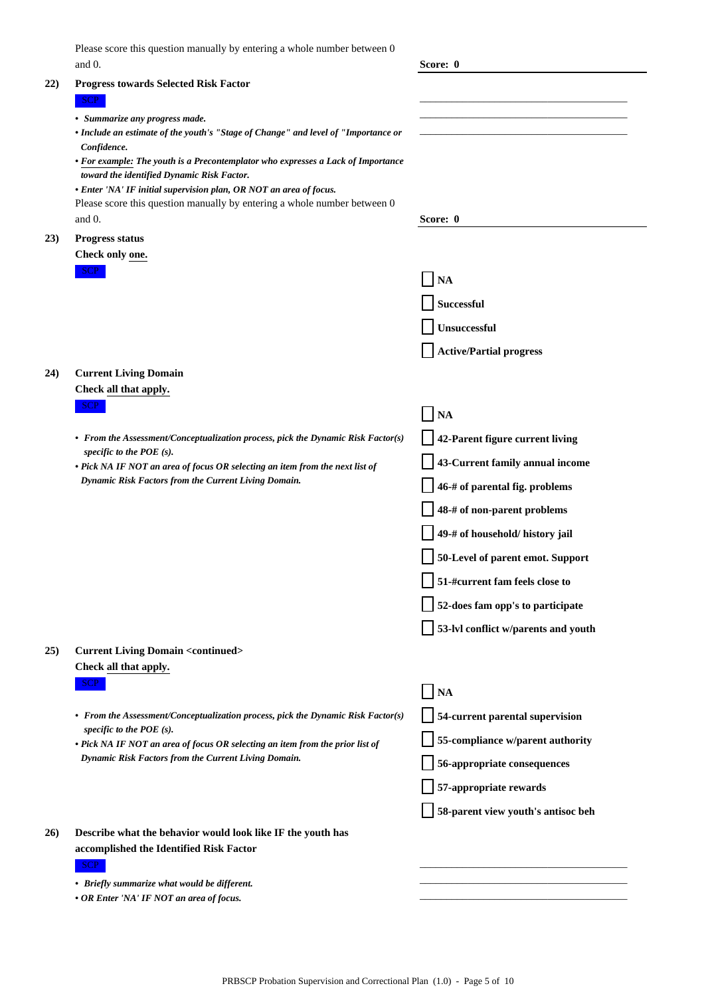| Please score this question manually by entering a whole number between 0 |  |
|--------------------------------------------------------------------------|--|
| and $0$ .                                                                |  |

|     | and 0.                                                                                                               | Score: 0                            |
|-----|----------------------------------------------------------------------------------------------------------------------|-------------------------------------|
| 22) | <b>Progress towards Selected Risk Factor</b>                                                                         |                                     |
|     | SCP                                                                                                                  |                                     |
|     | • Summarize any progress made.<br>• Include an estimate of the youth's "Stage of Change" and level of "Importance or |                                     |
|     | Confidence.                                                                                                          |                                     |
|     | • For example: The youth is a Precontemplator who expresses a Lack of Importance                                     |                                     |
|     | toward the identified Dynamic Risk Factor.<br>• Enter 'NA' IF initial supervision plan, OR NOT an area of focus.     |                                     |
|     | Please score this question manually by entering a whole number between 0                                             |                                     |
|     | and 0.                                                                                                               | Score: 0                            |
| 23) | <b>Progress status</b>                                                                                               |                                     |
|     | Check only one.<br>SCP                                                                                               |                                     |
|     |                                                                                                                      | <b>NA</b>                           |
|     |                                                                                                                      | <b>Successful</b>                   |
|     |                                                                                                                      | Unsuccessful                        |
|     |                                                                                                                      | <b>Active/Partial progress</b>      |
| 24) | <b>Current Living Domain</b>                                                                                         |                                     |
|     | Check all that apply.                                                                                                |                                     |
|     | <b>SCP</b>                                                                                                           | <b>NA</b>                           |
|     | • From the Assessment/Conceptualization process, pick the Dynamic Risk Factor(s)                                     | 42-Parent figure current living     |
|     | specific to the POE $(s)$ .<br>• Pick NA IF NOT an area of focus OR selecting an item from the next list of          | 43-Current family annual income     |
|     | Dynamic Risk Factors from the Current Living Domain.                                                                 | 46-# of parental fig. problems      |
|     |                                                                                                                      | 48-# of non-parent problems         |
|     |                                                                                                                      | 49-# of household/ history jail     |
|     |                                                                                                                      | 50-Level of parent emot. Support    |
|     |                                                                                                                      | 51-#current fam feels close to      |
|     |                                                                                                                      | 52-does fam opp's to participate    |
|     |                                                                                                                      | 53-lvl conflict w/parents and youth |
| 25) | <b>Current Living Domain <continued></continued></b>                                                                 |                                     |
|     | Check all that apply.                                                                                                |                                     |
|     | SCP                                                                                                                  | NA                                  |
|     | • From the Assessment/Conceptualization process, pick the Dynamic Risk Factor(s)                                     | 54-current parental supervision     |
|     | specific to the POE $(s)$ .<br>• Pick NA IF NOT an area of focus OR selecting an item from the prior list of         | 55-compliance w/parent authority    |
|     | Dynamic Risk Factors from the Current Living Domain.                                                                 | 56-appropriate consequences         |
|     |                                                                                                                      | 57-appropriate rewards              |
|     |                                                                                                                      | 58-parent view youth's antisoc beh  |
| 26) | Describe what the behavior would look like IF the youth has                                                          |                                     |
|     | accomplished the Identified Risk Factor<br>SCP                                                                       |                                     |
|     | • Briefly summarize what would be different.                                                                         |                                     |
|     | • OR Enter 'NA' IF NOT an area of focus.                                                                             |                                     |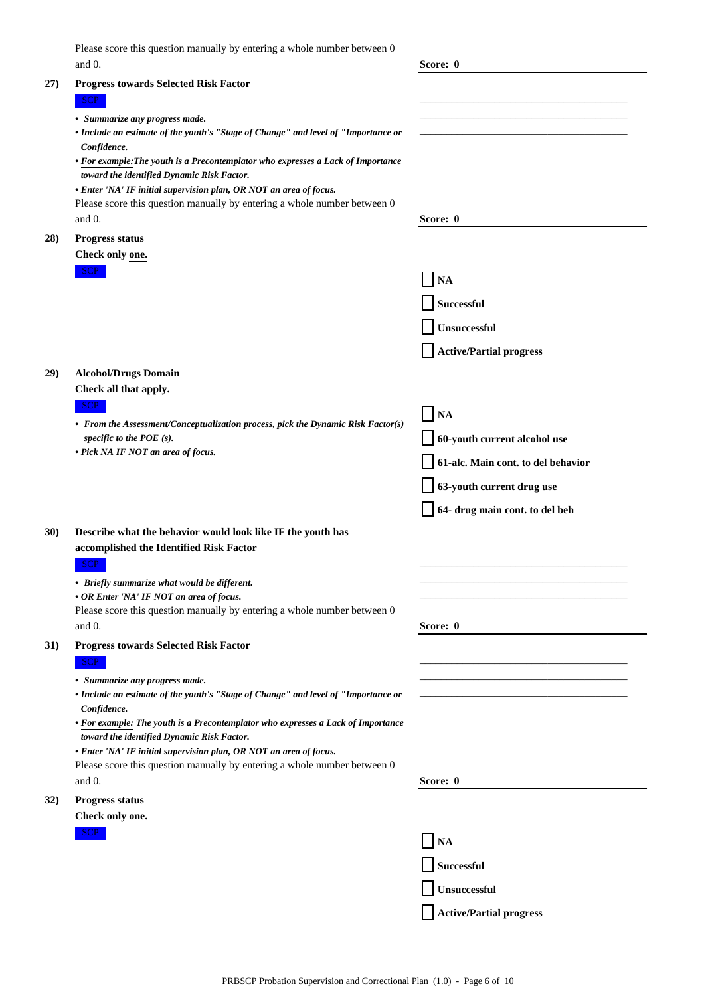| Please score this question manually by entering a whole number between 0 |          |  |
|--------------------------------------------------------------------------|----------|--|
| and $0$ .                                                                | Score: 0 |  |
|                                                                          |          |  |

|             |                                                                                                                                | $_{\text{v}}$ $_{\text{v}}$ $_{\text{v}}$ |
|-------------|--------------------------------------------------------------------------------------------------------------------------------|-------------------------------------------|
| 27)         | <b>Progress towards Selected Risk Factor</b>                                                                                   |                                           |
|             | SCP                                                                                                                            |                                           |
|             | • Summarize any progress made.                                                                                                 |                                           |
|             | • Include an estimate of the youth's "Stage of Change" and level of "Importance or<br>Confidence.                              |                                           |
|             | • For example: The youth is a Precontemplator who expresses a Lack of Importance                                               |                                           |
|             | toward the identified Dynamic Risk Factor.                                                                                     |                                           |
|             | • Enter 'NA' IF initial supervision plan, OR NOT an area of focus.                                                             |                                           |
|             | Please score this question manually by entering a whole number between 0                                                       |                                           |
|             | and $0$ .                                                                                                                      | Score: 0                                  |
| 28)         | Progress status                                                                                                                |                                           |
|             | Check only one.<br>SCP                                                                                                         |                                           |
|             |                                                                                                                                | <b>NA</b>                                 |
|             |                                                                                                                                | <b>Successful</b>                         |
|             |                                                                                                                                | Unsuccessful                              |
|             |                                                                                                                                | <b>Active/Partial progress</b>            |
| 29)         | <b>Alcohol/Drugs Domain</b>                                                                                                    |                                           |
|             | Check all that apply.                                                                                                          |                                           |
|             | SCP                                                                                                                            | <b>NA</b>                                 |
|             | • From the Assessment/Conceptualization process, pick the Dynamic Risk Factor(s)                                               |                                           |
|             | specific to the POE $(s)$ .<br>• Pick NA IF NOT an area of focus.                                                              | 60-youth current alcohol use              |
|             |                                                                                                                                | 61-alc. Main cont. to del behavior        |
|             |                                                                                                                                | 63-youth current drug use                 |
|             |                                                                                                                                | 64- drug main cont. to del beh            |
| <b>30</b> ) | Describe what the behavior would look like IF the youth has                                                                    |                                           |
|             | accomplished the Identified Risk Factor                                                                                        |                                           |
|             | SCP                                                                                                                            |                                           |
|             | • Briefly summarize what would be different.                                                                                   |                                           |
|             | • OR Enter 'NA' IF NOT an area of focus.                                                                                       |                                           |
|             | Please score this question manually by entering a whole number between 0                                                       |                                           |
|             | and 0.                                                                                                                         | Score: 0                                  |
| 31)         | <b>Progress towards Selected Risk Factor</b>                                                                                   |                                           |
|             | SCP                                                                                                                            |                                           |
|             | • Summarize any progress made.<br>• Include an estimate of the youth's "Stage of Change" and level of "Importance or           |                                           |
|             | Confidence.                                                                                                                    |                                           |
|             | • For example: The youth is a Precontemplator who expresses a Lack of Importance<br>toward the identified Dynamic Risk Factor. |                                           |
|             | • Enter 'NA' IF initial supervision plan, OR NOT an area of focus.                                                             |                                           |
|             | Please score this question manually by entering a whole number between 0                                                       |                                           |
|             | and 0.                                                                                                                         | Score: 0                                  |
| 32)         | <b>Progress status</b>                                                                                                         |                                           |
|             | Check only one.                                                                                                                |                                           |
|             | <b>SCP</b>                                                                                                                     | <b>NA</b>                                 |
|             |                                                                                                                                | <b>Successful</b>                         |
|             |                                                                                                                                | Unsuccessful                              |
|             |                                                                                                                                | <b>Active/Partial progress</b>            |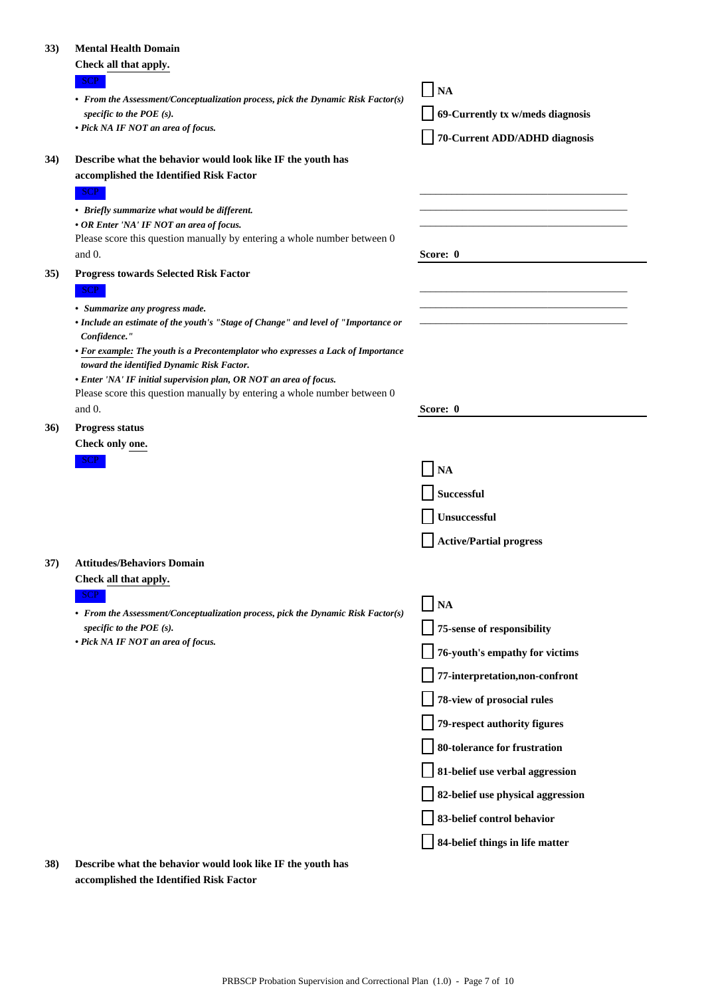#### **33) Mental Health Domain**

| 33) | <b>Mental Health Domain</b>                                                                                          |                                   |
|-----|----------------------------------------------------------------------------------------------------------------------|-----------------------------------|
|     | Check all that apply.                                                                                                |                                   |
|     | SCP<br>• From the Assessment/Conceptualization process, pick the Dynamic Risk Factor(s)                              | <b>NA</b><br>ΙI                   |
|     | specific to the POE $(s)$ .                                                                                          | 69-Currently tx w/meds diagnosis  |
|     | • Pick NA IF NOT an area of focus.                                                                                   | 70-Current ADD/ADHD diagnosis     |
| 34) | Describe what the behavior would look like IF the youth has                                                          |                                   |
|     | accomplished the Identified Risk Factor                                                                              |                                   |
|     | SCP                                                                                                                  |                                   |
|     | • Briefly summarize what would be different.<br>• OR Enter 'NA' IF NOT an area of focus.                             |                                   |
|     | Please score this question manually by entering a whole number between 0                                             |                                   |
|     | and 0.                                                                                                               | Score: 0                          |
| 35) | <b>Progress towards Selected Risk Factor</b>                                                                         |                                   |
|     | SCP                                                                                                                  |                                   |
|     | • Summarize any progress made.<br>• Include an estimate of the youth's "Stage of Change" and level of "Importance or |                                   |
|     | Confidence."                                                                                                         |                                   |
|     | • For example: The youth is a Precontemplator who expresses a Lack of Importance                                     |                                   |
|     | toward the identified Dynamic Risk Factor.<br>• Enter 'NA' IF initial supervision plan, OR NOT an area of focus.     |                                   |
|     | Please score this question manually by entering a whole number between 0                                             |                                   |
|     | and 0.                                                                                                               | Score: 0                          |
| 36) | <b>Progress status</b>                                                                                               |                                   |
|     | Check only one.                                                                                                      |                                   |
|     | SCP                                                                                                                  | NA                                |
|     |                                                                                                                      | <b>Successful</b>                 |
|     |                                                                                                                      | Unsuccessful                      |
|     |                                                                                                                      | <b>Active/Partial progress</b>    |
| 37) | <b>Attitudes/Behaviors Domain</b>                                                                                    |                                   |
|     | Check all that apply.                                                                                                |                                   |
|     | <b>SCP</b><br>• From the Assessment/Conceptualization process, pick the Dynamic Risk Factor(s)                       | NA                                |
|     | specific to the POE $(s)$ .                                                                                          | 75-sense of responsibility        |
|     | • Pick NA IF NOT an area of focus.                                                                                   | 76-youth's empathy for victims    |
|     |                                                                                                                      | 77-interpretation,non-confront    |
|     |                                                                                                                      | 78-view of prosocial rules        |
|     |                                                                                                                      | 79-respect authority figures      |
|     |                                                                                                                      | 80-tolerance for frustration      |
|     |                                                                                                                      | 81-belief use verbal aggression   |
|     |                                                                                                                      | 82-belief use physical aggression |
|     |                                                                                                                      | 83-belief control behavior        |
|     |                                                                                                                      | 84-belief things in life matter   |

**38) Describe what the behavior would look like IF the youth has accomplished the Identified Risk Factor**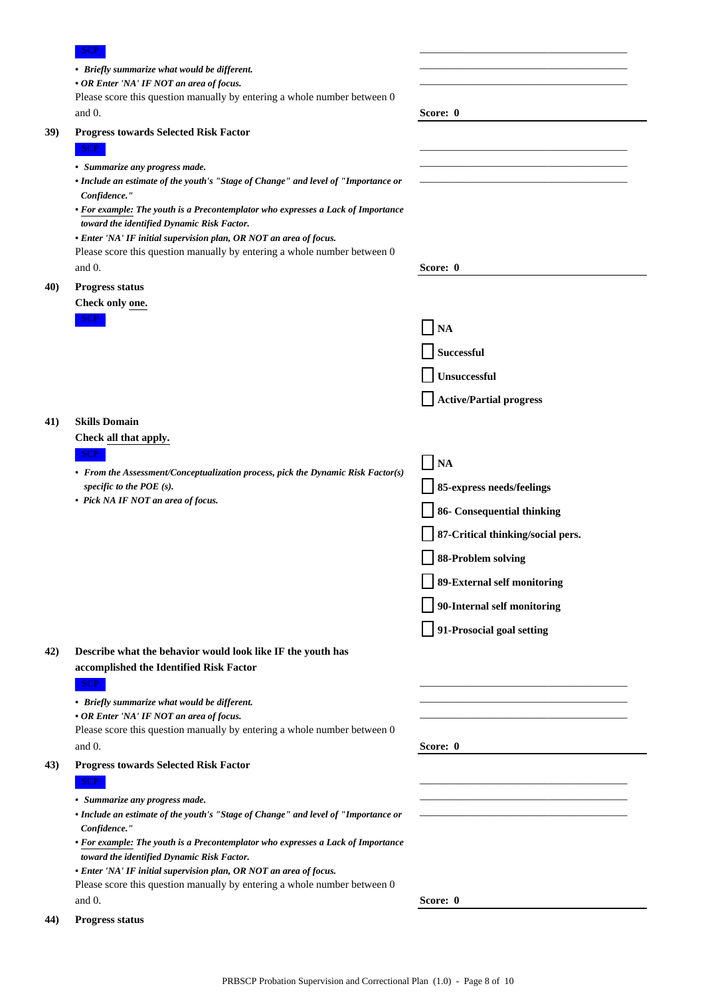|     | <b>SCP</b>                                                                                                                                     |                                   |
|-----|------------------------------------------------------------------------------------------------------------------------------------------------|-----------------------------------|
|     | • Briefly summarize what would be different.                                                                                                   |                                   |
|     | • OR Enter 'NA' IF NOT an area of focus.                                                                                                       |                                   |
|     | Please score this question manually by entering a whole number between 0                                                                       |                                   |
|     | and $0$ .                                                                                                                                      | Score: 0                          |
| 39) | <b>Progress towards Selected Risk Factor</b>                                                                                                   |                                   |
|     | <b>SCP</b>                                                                                                                                     |                                   |
|     | • Summarize any progress made.                                                                                                                 |                                   |
|     | • Include an estimate of the youth's "Stage of Change" and level of "Importance or<br>Confidence."                                             |                                   |
|     | • For example: The youth is a Precontemplator who expresses a Lack of Importance                                                               |                                   |
|     | toward the identified Dynamic Risk Factor.                                                                                                     |                                   |
|     | • Enter 'NA' IF initial supervision plan, OR NOT an area of focus.<br>Please score this question manually by entering a whole number between 0 |                                   |
|     | and $0$ .                                                                                                                                      | Score: 0                          |
| 40) | <b>Progress status</b>                                                                                                                         |                                   |
|     | Check only one.                                                                                                                                |                                   |
|     | <b>SCP</b>                                                                                                                                     |                                   |
|     |                                                                                                                                                | <b>NA</b>                         |
|     |                                                                                                                                                | <b>Successful</b>                 |
|     |                                                                                                                                                | Unsuccessful                      |
|     |                                                                                                                                                | <b>Active/Partial progress</b>    |
| 41) | <b>Skills Domain</b>                                                                                                                           |                                   |
|     | Check all that apply.                                                                                                                          |                                   |
|     | <b>SCP</b>                                                                                                                                     | <b>NA</b>                         |
|     | • From the Assessment/Conceptualization process, pick the Dynamic Risk Factor(s)<br>specific to the POE $(s)$ .                                | 85-express needs/feelings         |
|     | • Pick NA IF NOT an area of focus.                                                                                                             | 86- Consequential thinking        |
|     |                                                                                                                                                | 87-Critical thinking/social pers. |
|     |                                                                                                                                                | <b>88-Problem solving</b>         |
|     |                                                                                                                                                | 89-External self monitoring       |
|     |                                                                                                                                                | 90-Internal self monitoring       |
|     |                                                                                                                                                | 91-Prosocial goal setting         |
| 42) | Describe what the behavior would look like IF the youth has                                                                                    |                                   |
|     | accomplished the Identified Risk Factor                                                                                                        |                                   |
|     | SCP                                                                                                                                            |                                   |
|     | • Briefly summarize what would be different.                                                                                                   |                                   |
|     | • OR Enter 'NA' IF NOT an area of focus.<br>Please score this question manually by entering a whole number between 0                           |                                   |
|     | and $0$ .                                                                                                                                      | Score: 0                          |
| 43) | <b>Progress towards Selected Risk Factor</b>                                                                                                   |                                   |
|     | <b>SCP</b>                                                                                                                                     |                                   |
|     | • Summarize any progress made.                                                                                                                 |                                   |
|     | • Include an estimate of the youth's "Stage of Change" and level of "Importance or                                                             |                                   |
|     | Confidence."                                                                                                                                   |                                   |
|     | • For example: The youth is a Precontemplator who expresses a Lack of Importance<br>toward the identified Dynamic Risk Factor.                 |                                   |
|     | • Enter 'NA' IF initial supervision plan, OR NOT an area of focus.                                                                             |                                   |
|     | Please score this question manually by entering a whole number between 0                                                                       |                                   |
|     | and $0$ .                                                                                                                                      | Score: 0                          |
| 44) | <b>Progress status</b>                                                                                                                         |                                   |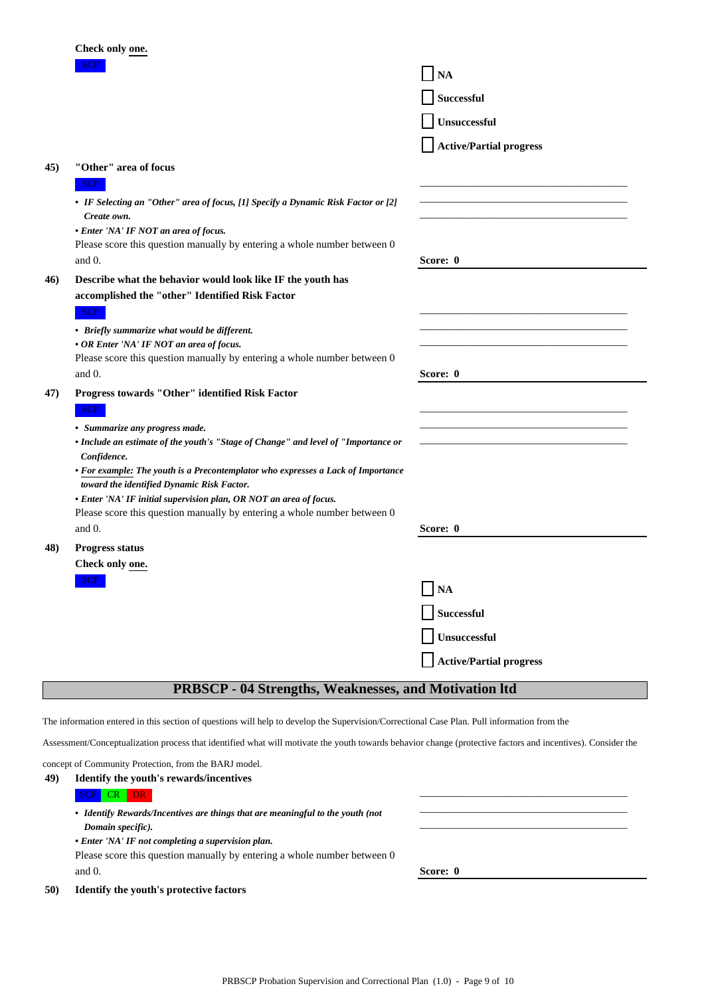|                                                                                                                                             | Check only one.                                                                                                                                             |                                |  |  |
|---------------------------------------------------------------------------------------------------------------------------------------------|-------------------------------------------------------------------------------------------------------------------------------------------------------------|--------------------------------|--|--|
|                                                                                                                                             | SCP                                                                                                                                                         | <b>NA</b>                      |  |  |
|                                                                                                                                             |                                                                                                                                                             | Successful                     |  |  |
|                                                                                                                                             |                                                                                                                                                             | Unsuccessful                   |  |  |
|                                                                                                                                             |                                                                                                                                                             | <b>Active/Partial progress</b> |  |  |
| 45)                                                                                                                                         | "Other" area of focus                                                                                                                                       |                                |  |  |
|                                                                                                                                             | SCP                                                                                                                                                         |                                |  |  |
|                                                                                                                                             | • IF Selecting an "Other" area of focus, [1] Specify a Dynamic Risk Factor or [2]<br>Create own.                                                            |                                |  |  |
|                                                                                                                                             | • Enter 'NA' IF NOT an area of focus.                                                                                                                       |                                |  |  |
|                                                                                                                                             | Please score this question manually by entering a whole number between 0<br>and $0$ .                                                                       | Score: 0                       |  |  |
| 46)                                                                                                                                         | Describe what the behavior would look like IF the youth has                                                                                                 |                                |  |  |
|                                                                                                                                             | accomplished the "other" Identified Risk Factor                                                                                                             |                                |  |  |
|                                                                                                                                             | SCP                                                                                                                                                         |                                |  |  |
|                                                                                                                                             | • Briefly summarize what would be different.                                                                                                                |                                |  |  |
|                                                                                                                                             | • OR Enter 'NA' IF NOT an area of focus.<br>Please score this question manually by entering a whole number between 0                                        |                                |  |  |
|                                                                                                                                             | and $0$ .                                                                                                                                                   | Score: 0                       |  |  |
| 47)                                                                                                                                         | Progress towards "Other" identified Risk Factor                                                                                                             |                                |  |  |
|                                                                                                                                             | SCP                                                                                                                                                         |                                |  |  |
|                                                                                                                                             | • Summarize any progress made.                                                                                                                              |                                |  |  |
|                                                                                                                                             | • Include an estimate of the youth's "Stage of Change" and level of "Importance or<br>Confidence.                                                           |                                |  |  |
|                                                                                                                                             | • For example: The youth is a Precontemplator who expresses a Lack of Importance                                                                            |                                |  |  |
|                                                                                                                                             | toward the identified Dynamic Risk Factor.<br>• Enter 'NA' IF initial supervision plan, OR NOT an area of focus.                                            |                                |  |  |
|                                                                                                                                             | Please score this question manually by entering a whole number between 0                                                                                    |                                |  |  |
|                                                                                                                                             | and 0.                                                                                                                                                      | Score: 0                       |  |  |
| 48)                                                                                                                                         | Progress status                                                                                                                                             |                                |  |  |
|                                                                                                                                             | Check only one.                                                                                                                                             |                                |  |  |
|                                                                                                                                             | <b>SCP</b>                                                                                                                                                  | NA                             |  |  |
|                                                                                                                                             |                                                                                                                                                             | Successful                     |  |  |
|                                                                                                                                             |                                                                                                                                                             | Unsuccessful                   |  |  |
|                                                                                                                                             |                                                                                                                                                             | <b>Active/Partial progress</b> |  |  |
|                                                                                                                                             | <b>PRBSCP - 04 Strengths, Weaknesses, and Motivation Itd</b>                                                                                                |                                |  |  |
|                                                                                                                                             |                                                                                                                                                             |                                |  |  |
| The information entered in this section of questions will help to develop the Supervision/Correctional Case Plan. Pull information from the |                                                                                                                                                             |                                |  |  |
|                                                                                                                                             | Assessment/Conceptualization process that identified what will motivate the youth towards behavior change (protective factors and incentives). Consider the |                                |  |  |

|     | concept of Community Protection, from the BARJ model.                          |          |
|-----|--------------------------------------------------------------------------------|----------|
| 49) | Identify the youth's rewards/incentives                                        |          |
|     | DR.<br><b>SCP</b><br><b>CR</b>                                                 |          |
|     | • Identify Rewards/Incentives are things that are meaningful to the youth (not |          |
|     | Domain specific).                                                              |          |
|     | • Enter 'NA' IF not completing a supervision plan.                             |          |
|     | Please score this question manually by entering a whole number between 0       |          |
|     | and $0$ .                                                                      | Score: 0 |
| 50) | <b>Identify the youth's protective factors</b>                                 |          |